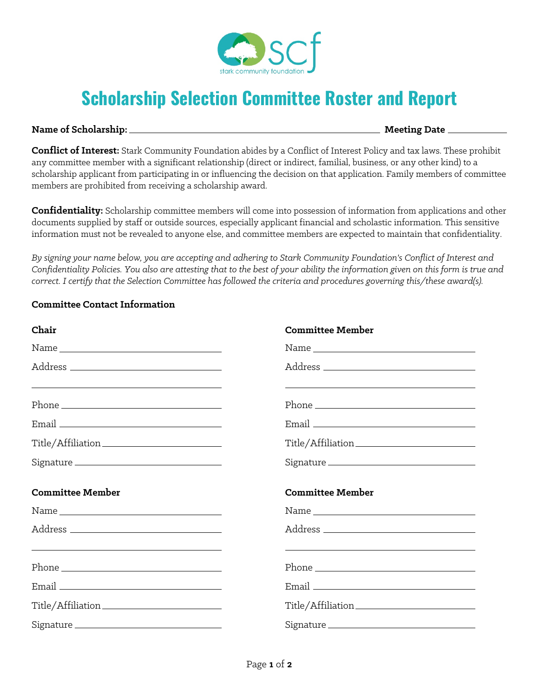

## **Scholarship Selection Committee Roster and Report**

## **Name of Scholarship: Meeting Date**

**Conflict of Interest:** Stark Community Foundation abides by a Conflict of Interest Policy and tax laws. These prohibit any committee member with a significant relationship (direct or indirect, familial, business, or any other kind) to a scholarship applicant from participating in or influencing the decision on that application. Family members of committee members are prohibited from receiving a scholarship award.

**Confidentiality:** Scholarship committee members will come into possession of information from applications and other documents supplied by staff or outside sources, especially applicant financial and scholastic information. This sensitive information must not be revealed to anyone else, and committee members are expected to maintain that confidentiality.

*By signing your name below, you are accepting and adhering to Stark Community Foundation's Conflict of Interest and Confidentiality Policies. You also are attesting that to the best of your ability the information given on this form is true and correct. I certify that the Selection Committee has followed the criteria and procedures governing this/these award(s).*

| <b>Committee Contact Information</b> |  |  |  |
|--------------------------------------|--|--|--|
|--------------------------------------|--|--|--|

| Chair                                                                                                                                                                                                                                                                                                                                                                                                                                                                                                                   | <b>Committee Member</b>                                                                                          |  |
|-------------------------------------------------------------------------------------------------------------------------------------------------------------------------------------------------------------------------------------------------------------------------------------------------------------------------------------------------------------------------------------------------------------------------------------------------------------------------------------------------------------------------|------------------------------------------------------------------------------------------------------------------|--|
| $\begin{minipage}{.4\linewidth} Name \begin{tabular}{l} \hline \textbf{Name} & \textbf{B} \\ \hline \textbf{Name} & \textbf{B} \\ \hline \textbf{Name} & \textbf{B} \\ \hline \textbf{Name} & \textbf{B} \\ \hline \textbf{Name} & \textbf{B} \\ \hline \textbf{Name} & \textbf{B} \\ \hline \textbf{Name} & \textbf{B} \\ \hline \textbf{Name} & \textbf{B} \\ \hline \textbf{Name} & \textbf{B} \\ \hline \textbf{Name} & \textbf{B} \\ \hline \textbf{Name} & \textbf{B} \\ \hline \textbf{Name} & \text$            |                                                                                                                  |  |
| <u> 1989 - Johann Stoff, deutscher Stoff, der Stoff, der Stoff, der Stoff, der Stoff, der Stoff, der Stoff, der S</u>                                                                                                                                                                                                                                                                                                                                                                                                   | and the control of the control of the control of the control of the control of the control of the control of the |  |
|                                                                                                                                                                                                                                                                                                                                                                                                                                                                                                                         |                                                                                                                  |  |
|                                                                                                                                                                                                                                                                                                                                                                                                                                                                                                                         |                                                                                                                  |  |
|                                                                                                                                                                                                                                                                                                                                                                                                                                                                                                                         |                                                                                                                  |  |
|                                                                                                                                                                                                                                                                                                                                                                                                                                                                                                                         | Signature                                                                                                        |  |
|                                                                                                                                                                                                                                                                                                                                                                                                                                                                                                                         |                                                                                                                  |  |
| <b>Committee Member</b>                                                                                                                                                                                                                                                                                                                                                                                                                                                                                                 | <b>Committee Member</b>                                                                                          |  |
| $\begin{minipage}{.4\linewidth} Name \begin{tabular}{l} \hline \textbf{Name} & \textbf{if} \\ \hline \textbf{Name} & \textbf{if} \\ \hline \textbf{Name} & \textbf{if} \\ \hline \textbf{Name} & \textbf{if} \\ \hline \textbf{Name} & \textbf{if} \\ \hline \textbf{Name} & \textbf{if} \\ \hline \textbf{Name} & \textbf{if} \\ \hline \textbf{Name} & \textbf{if} \\ \hline \textbf{Name} & \textbf{if} \\ \hline \textbf{Name} & \textbf{if} \\ \hline \textbf{Name} & \textbf{if} \\ \hline \textbf{Name} & \text$ |                                                                                                                  |  |
|                                                                                                                                                                                                                                                                                                                                                                                                                                                                                                                         |                                                                                                                  |  |
| <u> Louis Communication (Communication Communication Communication Communication Communication Communication Com</u>                                                                                                                                                                                                                                                                                                                                                                                                    | <u> 1989 - Johann Stoff, amerikansk politiker (d. 1989)</u>                                                      |  |
|                                                                                                                                                                                                                                                                                                                                                                                                                                                                                                                         |                                                                                                                  |  |
|                                                                                                                                                                                                                                                                                                                                                                                                                                                                                                                         |                                                                                                                  |  |